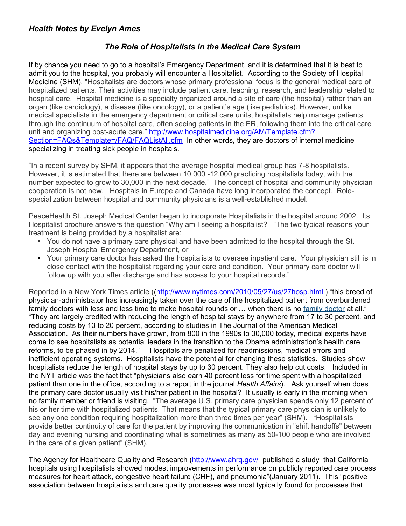## *Health Notes by Evelyn Ames*

## *The Role of Hospitalists in the Medical Care System*

If by chance you need to go to a hospital's Emergency Department, and it is determined that it is best to admit you to the hospital, you probably will encounter a Hospitalist. According to the Society of Hospital Medicine (SHM), "Hospitalists are doctors whose primary professional focus is the general medical care of hospitalized patients. Their activities may include patient care, teaching, research, and leadership related to hospital care. Hospital medicine is a specialty organized around a site of care (the hospital) rather than an organ (like cardiology), a disease (like oncology), or a patient's age (like pediatrics). However, unlike medical specialists in the emergency department or critical care units, hospitalists help manage patients through the continuum of hospital care, often seeing patients in the ER, following them into the critical care unit and organizing post-acute care." [http://www.hospitalmedicine.org/AM/Template.cfm?](http://www.hospitalmedicine.org/AM/Template.cfm?Section=FAQs&Template=/FAQ/FAQListAll.cfm) [Section=FAQs&Template=/FAQ/FAQListAll.cfm](http://www.hospitalmedicine.org/AM/Template.cfm?Section=FAQs&Template=/FAQ/FAQListAll.cfm) In other words, they are doctors of internal medicine specializing in treating sick people in hospitals.

"In a recent survey by SHM, it appears that the average hospital medical group has 7-8 hospitalists. However, it is estimated that there are between 10,000 -12,000 practicing hospitalists today, with the number expected to grow to 30,000 in the next decade." The concept of hospital and community physician cooperation is not new. Hospitals in Europe and Canada have long incorporated the concept. Rolespecialization between hospital and community physicians is a well-established model.

PeaceHealth St. Joseph Medical Center began to incorporate Hospitalists in the hospital around 2002. Its Hospitalist brochure answers the question "Why am I seeing a hospitalist? "The two typical reasons your treatment is being provided by a hospitalist are:

- You do not have a primary care physical and have been admitted to the hospital through the St. Joseph Hospital Emergency Department, or
- Your primary care doctor has asked the hospitalists to oversee inpatient care. Your physician still is in close contact with the hospitalist regarding your care and condition. Your primary care doctor will follow up with you after discharge and has access to your hospital records."

Reported in a New York Times article ([\(http://www.nytimes.com/2010/05/27/us/27hosp.html](http://www.nytimes.com/2010/05/27/us/27hosp.html) ) "this breed of physician-administrator has increasingly taken over the care of the hospitalized patient from overburdened family doctors with less and less time to make hospital rounds or … when there is no [family doctor](http://health.nytimes.com/health/guides/specialtopic/choosing-a-primary-care-provider/overview.html?inline=nyt-classifier) at all." "They are largely credited with reducing the length of hospital stays by anywhere from 17 to 30 percent, and reducing costs by 13 to 20 percent, according to studies in The Journal of the American Medical Association. As their numbers have grown, from 800 in the 1990s to 30,000 today, medical experts have come to see hospitalists as potential leaders in the transition to the Obama administration's health care reforms, to be phased in by 2014. " Hospitals are penalized for readmissions, medical errors and inefficient operating systems. Hospitalists have the potential for changing these statistics. Studies show hospitalists reduce the length of hospital stays by up to 30 percent. They also help cut costs. Included in the NYT article was the fact that "physicians also earn 40 percent less for time spent with a hospitalized patient than one in the office, according to a report in the journal *Health Affairs*). Ask yourself when does the primary care doctor usually visit his/her patient in the hospital? It usually is early in the morning when no family member or friend is visiting. "The average U.S. primary care physician spends only 12 percent of his or her time with hospitalized patients. That means that the typical primary care physician is unlikely to see any one condition requiring hospitalization more than three times per year" (SHM). "Hospitalists provide better continuity of care for the patient by improving the communication in "shift handoffs" between day and evening nursing and coordinating what is sometimes as many as 50-100 people who are involved in the care of a given patient" (SHM).

The Agency for Healthcare Quality and Research [\(http://www.ahrq.gov/](http://www.ahrq.gov/) published a study that California hospitals using hospitalists showed modest improvements in performance on publicly reported care process measures for heart attack, congestive heart failure (CHF), and pneumonia"(January 2011). This "positive association between hospitalists and care quality processes was most typically found for processes that